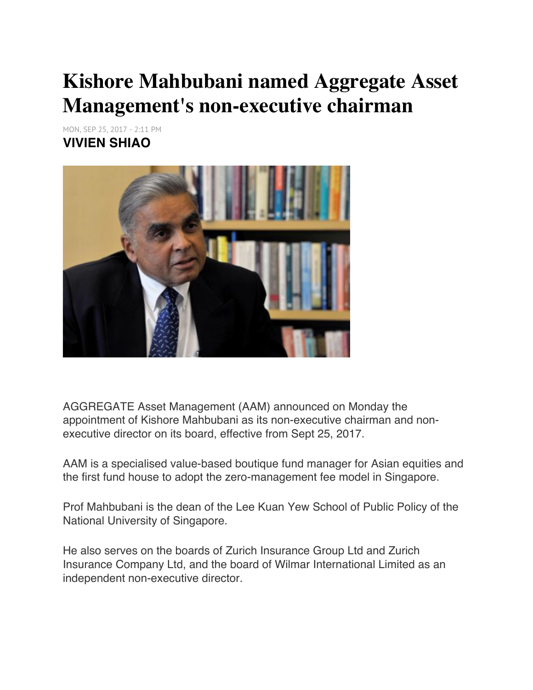## **Kishore Mahbubani named Aggregate Asset Management's non-executive chairman**

MON, SEP 25, 2017 - 2:11 PM **VIVIEN SHIAO**



AGGREGATE Asset Management (AAM) announced on Monday the appointment of Kishore Mahbubani as its non-executive chairman and nonexecutive director on its board, effective from Sept 25, 2017.

AAM is a specialised value-based boutique fund manager for Asian equities and the first fund house to adopt the zero-management fee model in Singapore.

Prof Mahbubani is the dean of the Lee Kuan Yew School of Public Policy of the National University of Singapore.

He also serves on the boards of Zurich Insurance Group Ltd and Zurich Insurance Company Ltd, and the board of Wilmar International Limited as an independent non-executive director.